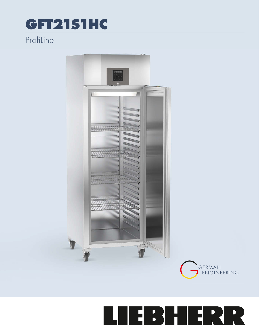## GFT21S1HC

## Profiline